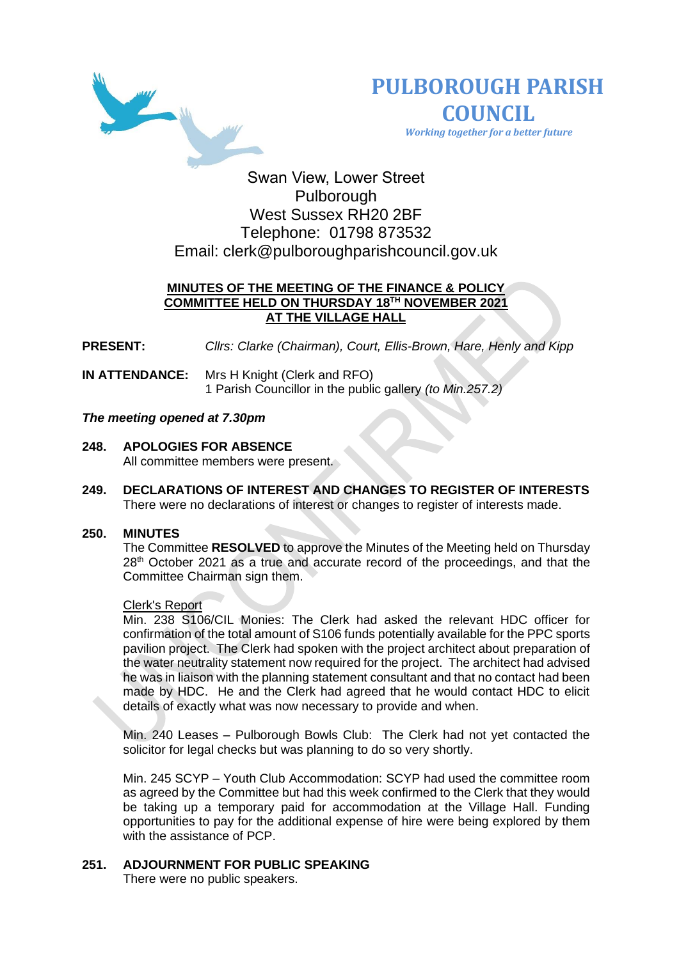



 *Working together for a better future*

# Swan View, Lower Street Pulborough West Sussex RH20 2BF Telephone: 01798 873532 Email: [clerk@pulboroughparishcouncil.gov.uk](mailto:clerk@pulboroughparishcouncil.gov.uk)

## **MINUTES OF THE MEETING OF THE FINANCE & POLICY COMMITTEE HELD ON THURSDAY 18TH NOVEMBER 2021 AT THE VILLAGE HALL**

**PRESENT:** *Cllrs: Clarke (Chairman), Court, Ellis-Brown, Hare, Henly and Kipp*

**IN ATTENDANCE:** Mrs H Knight (Clerk and RFO) 1 Parish Councillor in the public gallery *(to Min.257.2)*

## *The meeting opened at 7.30pm*

- **248. APOLOGIES FOR ABSENCE**  All committee members were present.
- **249. DECLARATIONS OF INTEREST AND CHANGES TO REGISTER OF INTERESTS** There were no declarations of interest or changes to register of interests made.

#### **250. MINUTES**

The Committee **RESOLVED** to approve the Minutes of the Meeting held on Thursday  $28<sup>th</sup>$  October 2021 as a true and accurate record of the proceedings, and that the Committee Chairman sign them.

#### Clerk's Report

Min. 238 S106/CIL Monies: The Clerk had asked the relevant HDC officer for confirmation of the total amount of S106 funds potentially available for the PPC sports pavilion project. The Clerk had spoken with the project architect about preparation of the water neutrality statement now required for the project. The architect had advised he was in liaison with the planning statement consultant and that no contact had been made by HDC. He and the Clerk had agreed that he would contact HDC to elicit details of exactly what was now necessary to provide and when.

Min. 240 Leases – Pulborough Bowls Club: The Clerk had not yet contacted the solicitor for legal checks but was planning to do so very shortly.

Min. 245 SCYP – Youth Club Accommodation: SCYP had used the committee room as agreed by the Committee but had this week confirmed to the Clerk that they would be taking up a temporary paid for accommodation at the Village Hall. Funding opportunities to pay for the additional expense of hire were being explored by them with the assistance of PCP.

## **251. ADJOURNMENT FOR PUBLIC SPEAKING**

There were no public speakers.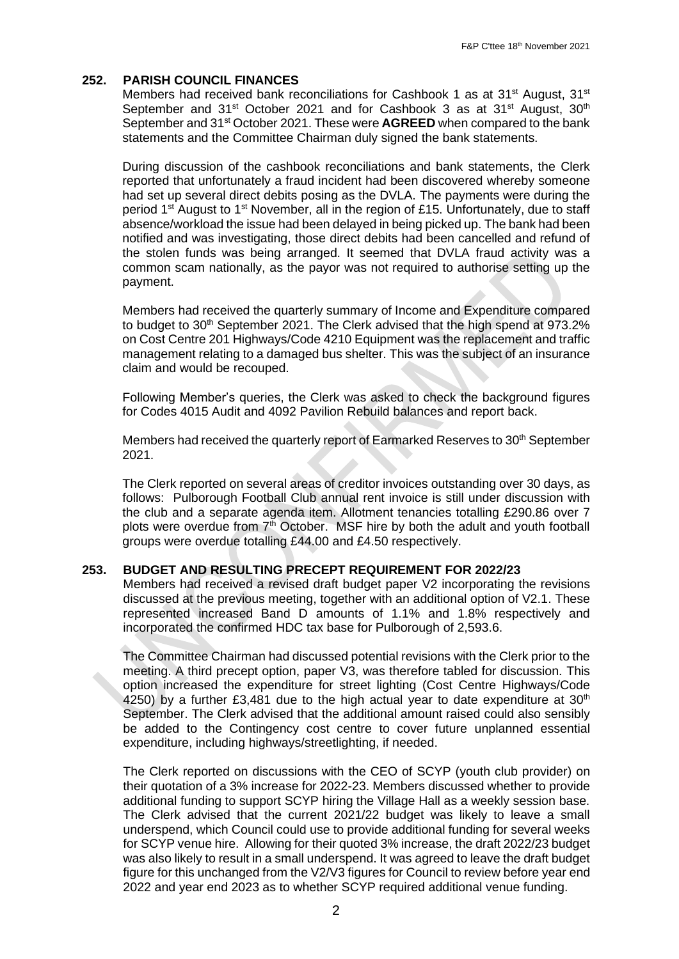## **252. PARISH COUNCIL FINANCES**

Members had received bank reconciliations for Cashbook 1 as at 31<sup>st</sup> August, 31<sup>st</sup> September and 31<sup>st</sup> October 2021 and for Cashbook 3 as at 31<sup>st</sup> August, 30<sup>th</sup> September and 31st October 2021. These were **AGREED** when compared to the bank statements and the Committee Chairman duly signed the bank statements.

During discussion of the cashbook reconciliations and bank statements, the Clerk reported that unfortunately a fraud incident had been discovered whereby someone had set up several direct debits posing as the DVLA. The payments were during the period 1<sup>st</sup> August to 1<sup>st</sup> November, all in the region of £15. Unfortunately, due to staff absence/workload the issue had been delayed in being picked up. The bank had been notified and was investigating, those direct debits had been cancelled and refund of the stolen funds was being arranged. It seemed that DVLA fraud activity was a common scam nationally, as the payor was not required to authorise setting up the payment.

Members had received the quarterly summary of Income and Expenditure compared to budget to 30<sup>th</sup> September 2021. The Clerk advised that the high spend at 973.2% on Cost Centre 201 Highways/Code 4210 Equipment was the replacement and traffic management relating to a damaged bus shelter. This was the subject of an insurance claim and would be recouped.

Following Member's queries, the Clerk was asked to check the background figures for Codes 4015 Audit and 4092 Pavilion Rebuild balances and report back.

Members had received the quarterly report of Earmarked Reserves to 30<sup>th</sup> September 2021.

The Clerk reported on several areas of creditor invoices outstanding over 30 days, as follows: Pulborough Football Club annual rent invoice is still under discussion with the club and a separate agenda item. Allotment tenancies totalling £290.86 over 7 plots were overdue from  $7<sup>th</sup>$  October. MSF hire by both the adult and youth football groups were overdue totalling £44.00 and £4.50 respectively.

#### **253. BUDGET AND RESULTING PRECEPT REQUIREMENT FOR 2022/23**

Members had received a revised draft budget paper V2 incorporating the revisions discussed at the previous meeting, together with an additional option of V2.1. These represented increased Band D amounts of 1.1% and 1.8% respectively and incorporated the confirmed HDC tax base for Pulborough of 2,593.6.

The Committee Chairman had discussed potential revisions with the Clerk prior to the meeting. A third precept option, paper V3, was therefore tabled for discussion. This option increased the expenditure for street lighting (Cost Centre Highways/Code 4250) by a further £3,481 due to the high actual year to date expenditure at  $30<sup>th</sup>$ September. The Clerk advised that the additional amount raised could also sensibly be added to the Contingency cost centre to cover future unplanned essential expenditure, including highways/streetlighting, if needed.

The Clerk reported on discussions with the CEO of SCYP (youth club provider) on their quotation of a 3% increase for 2022-23. Members discussed whether to provide additional funding to support SCYP hiring the Village Hall as a weekly session base. The Clerk advised that the current 2021/22 budget was likely to leave a small underspend, which Council could use to provide additional funding for several weeks for SCYP venue hire. Allowing for their quoted 3% increase, the draft 2022/23 budget was also likely to result in a small underspend. It was agreed to leave the draft budget figure for this unchanged from the V2/V3 figures for Council to review before year end 2022 and year end 2023 as to whether SCYP required additional venue funding.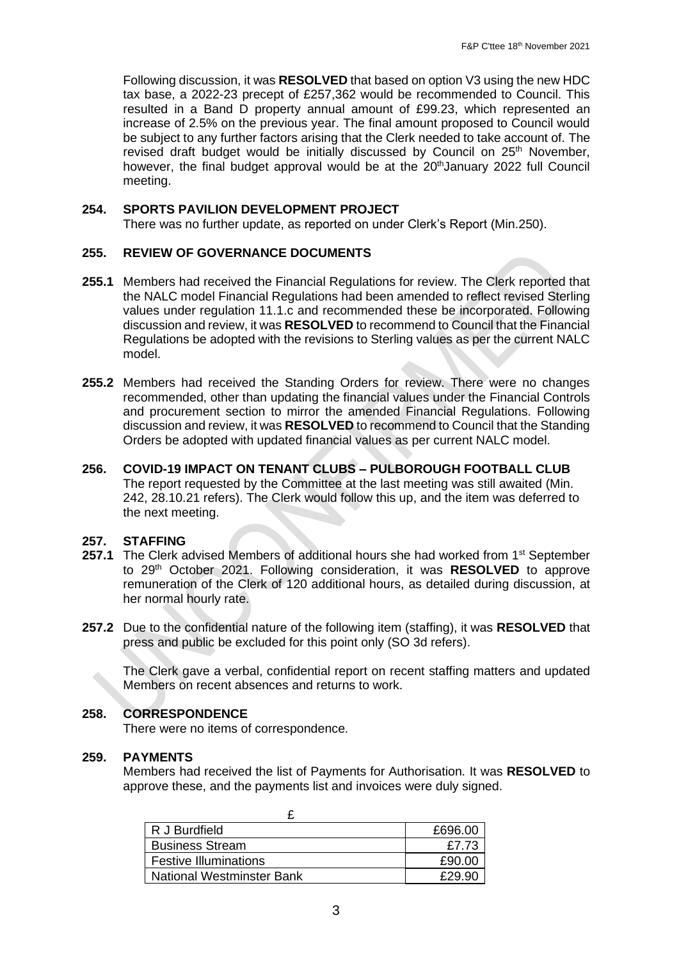Following discussion, it was **RESOLVED** that based on option V3 using the new HDC tax base, a 2022-23 precept of £257,362 would be recommended to Council. This resulted in a Band D property annual amount of £99.23, which represented an increase of 2.5% on the previous year. The final amount proposed to Council would be subject to any further factors arising that the Clerk needed to take account of. The revised draft budget would be initially discussed by Council on 25<sup>th</sup> November, however, the final budget approval would be at the 20<sup>th</sup> January 2022 full Council meeting.

## **254. SPORTS PAVILION DEVELOPMENT PROJECT**

There was no further update, as reported on under Clerk's Report (Min.250).

### **255. REVIEW OF GOVERNANCE DOCUMENTS**

- **255.1** Members had received the Financial Regulations for review. The Clerk reported that the NALC model Financial Regulations had been amended to reflect revised Sterling values under regulation 11.1.c and recommended these be incorporated. Following discussion and review, it was **RESOLVED** to recommend to Council that the Financial Regulations be adopted with the revisions to Sterling values as per the current NALC model.
- **255.2** Members had received the Standing Orders for review. There were no changes recommended, other than updating the financial values under the Financial Controls and procurement section to mirror the amended Financial Regulations. Following discussion and review, it was **RESOLVED** to recommend to Council that the Standing Orders be adopted with updated financial values as per current NALC model.
- **256. COVID-19 IMPACT ON TENANT CLUBS – PULBOROUGH FOOTBALL CLUB** The report requested by the Committee at the last meeting was still awaited (Min. 242, 28.10.21 refers). The Clerk would follow this up, and the item was deferred to the next meeting.

#### **257. STAFFING**

- **257.1** The Clerk advised Members of additional hours she had worked from 1<sup>st</sup> September to 29th October 2021. Following consideration, it was **RESOLVED** to approve remuneration of the Clerk of 120 additional hours, as detailed during discussion, at her normal hourly rate.
- **257.2** Due to the confidential nature of the following item (staffing), it was **RESOLVED** that press and public be excluded for this point only (SO 3d refers).

The Clerk gave a verbal, confidential report on recent staffing matters and updated Members on recent absences and returns to work.

## **258. CORRESPONDENCE**

There were no items of correspondence.

#### **259. PAYMENTS**

Members had received the list of Payments for Authorisation. It was **RESOLVED** to approve these, and the payments list and invoices were duly signed.

| R J Burdfield                | £696.00 |
|------------------------------|---------|
| <b>Business Stream</b>       | £7.73   |
| <b>Festive Illuminations</b> | £90.00  |
| National Westminster Bank    | F29 91  |